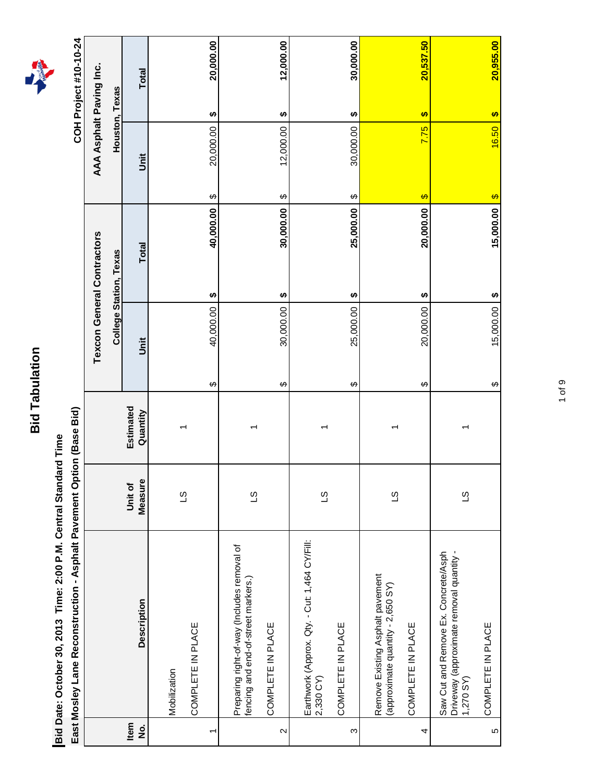

East Mosley Lane Reconstruction - Asphalt Pavement Option (Base Bid) **East Mosley Lane Reconstruction - Asphalt Pavement Option (Base Bid)**

|                            | East Mosley Lane Reconstruction - Asphalt Pavement Option (Base Bid)                          |                    |                       |   |           |                                   |           |                                     |       |                | COH Project #10-10-24 |
|----------------------------|-----------------------------------------------------------------------------------------------|--------------------|-----------------------|---|-----------|-----------------------------------|-----------|-------------------------------------|-------|----------------|-----------------------|
|                            |                                                                                               |                    |                       |   |           | <b>Texcon General Contractors</b> |           | AAA Asphalt Paving Inc.             |       |                |                       |
|                            |                                                                                               |                    |                       |   |           | <b>College Station, Texas</b>     |           |                                     |       | Houston, Texas |                       |
| Item<br>$\dot{\mathbf{z}}$ | <b>Description</b>                                                                            | Measure<br>Unit of | Estimated<br>Quantity |   | jnit      | Total                             |           | <b>Jnit</b>                         |       |                | Total                 |
|                            | Mobilization                                                                                  |                    |                       |   |           |                                   |           |                                     |       |                |                       |
|                            |                                                                                               | $\overline{c}$     | ᡪ                     |   |           |                                   |           |                                     |       |                |                       |
| ٣                          | COMPLETE IN PLACE                                                                             |                    |                       | ↔ | 40,000.00 | ↮                                 | 40,000.00 | 20,000.00<br>↔                      |       | ↮              | 20,000.00             |
|                            |                                                                                               |                    |                       |   |           |                                   |           |                                     |       |                |                       |
|                            | Preparing right-of-way (Includes removal of<br>fencing and end-of-street markers.)            | $\overline{c}$     | ᠇                     |   |           |                                   |           |                                     |       |                |                       |
| $\mathbf{\Omega}$          | COMPLETE IN PLACE                                                                             |                    |                       | ↔ | 30,000.00 | ↮                                 | 30,000.00 | 12,000.00<br>↔                      |       | ↮              | 12,000.00             |
|                            |                                                                                               |                    |                       |   |           |                                   |           |                                     |       |                |                       |
|                            | Earthwork (Approx. Qty. - Cut: 1,464 CY/Fill:<br>2,330 CY)                                    | $\overline{c}$     |                       |   |           |                                   |           |                                     |       |                |                       |
| S                          | COMPLETE IN PLACE                                                                             |                    |                       | ↔ | 25,000.00 | ↮                                 | 25,000.00 | 30,000.00<br>$\boldsymbol{\varphi}$ |       | ↮              | 30,000.00             |
|                            | Remove Existing Asphalt pavement                                                              |                    |                       |   |           |                                   |           |                                     |       |                |                       |
|                            | (approximate quantity - 2,650 SY)                                                             | $\overline{3}$     |                       |   |           |                                   |           |                                     |       |                |                       |
| 4                          | COMPLETE IN PLACE                                                                             |                    |                       | ↔ | 20,000.00 | ↮                                 | 20,000.00 | $\rightarrow$                       | 7.75  | $\bullet$      | 20,537.50             |
|                            | Driveway (approximate removal quantity -<br>Saw Cut and Remove Ex. Concrete/Asph<br>1,270 SY) | ST                 |                       |   |           |                                   |           |                                     |       |                |                       |
| 5                          | COMPLETE IN PLACE                                                                             |                    |                       | ↔ | 15,000.00 | $\boldsymbol{\varphi}$            | 15,000.00 | $\bullet$                           | 16.50 | $\bullet$      | 20,955.00             |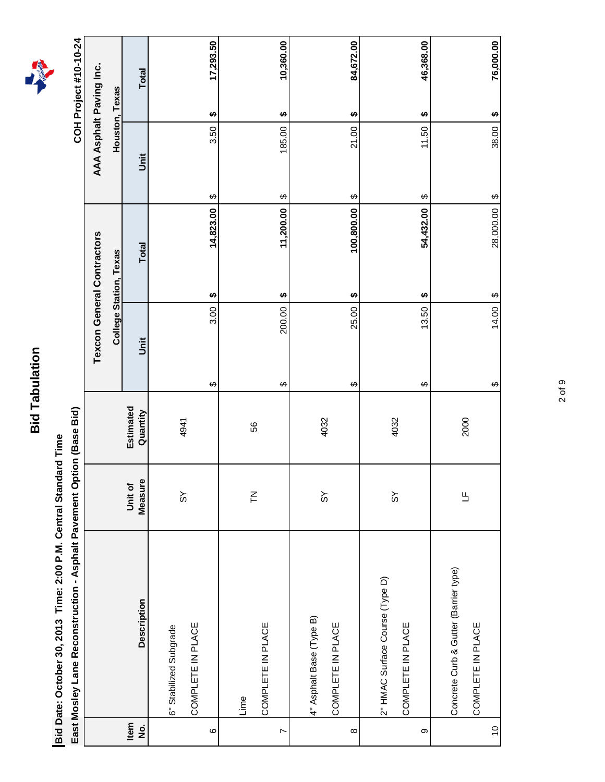Bid Date: October 30, 2013 Time: 2:00 P.M. Central Standard Time **Bid Date: October 30, 2013 Time: 2:00 P.M. Central Standard Time**

East Mosley Lane Reconstruction - Asphalt Pavement Option (Base Bid) **East Mosley Lane Reconstruction - Asphalt Pavement Option (Base Bid)**

COH Project #10-10-24 **COH Project #10-10-24**

|                  |                                       |                       |                       |             | <b>Texcon General Contractors</b> |                                  | AAA Asphalt Paving Inc.             |
|------------------|---------------------------------------|-----------------------|-----------------------|-------------|-----------------------------------|----------------------------------|-------------------------------------|
|                  |                                       |                       |                       |             | <b>College Station, Texas</b>     |                                  | Houston, Texas                      |
| tem<br>No.       | <b>Description</b>                    | Measure<br>Unit of    | Estimated<br>Quantity | <b>Jnit</b> | Total                             | jnit                             | Total                               |
|                  | 6" Stabilized Subgrade                |                       |                       |             |                                   |                                  |                                     |
|                  | COMPLETE IN PLACE                     | $\frac{8}{3}$         | 4941                  |             |                                   |                                  |                                     |
| $\circ$          |                                       |                       |                       | 3.00<br>↔   | 14,823.00<br>↮                    | 3.50<br>$\boldsymbol{\varphi}$   | 17,293.50<br>$\boldsymbol{\varphi}$ |
|                  | Lime                                  | $\zeta$               | 56                    |             |                                   |                                  |                                     |
| $\triangleright$ | COMPLETE IN PLACE                     |                       |                       | 200.00<br>↮ | 11,200.00<br>↮                    | 185.00<br>$\boldsymbol{\varphi}$ | 10,360.00<br>$\bullet$              |
|                  |                                       |                       |                       |             |                                   |                                  |                                     |
|                  | 4" Asphalt Base (Type B)              | $\frac{8}{3}$         | 4032                  |             |                                   |                                  |                                     |
|                  | COMPLETE IN PLACE                     |                       |                       |             |                                   |                                  |                                     |
| $\infty$         |                                       |                       |                       | 25.00<br>↮  | 100,800.00<br>↮                   | 21.00<br>$\boldsymbol{\varphi}$  | 84,672.00<br>$\boldsymbol{\varphi}$ |
|                  | 2" HMAC Surface Course (Type D)       |                       |                       |             |                                   |                                  |                                     |
|                  | COMPLETE IN PLACE                     | $\frac{8}{3}$         | 4032                  |             |                                   |                                  |                                     |
| တ                |                                       |                       |                       | 13.50<br>↮  | 54,432.00<br>↮                    | 11.50<br>↮                       | 46,368.00<br>Ø                      |
|                  | Concrete Curb & Gutter (Barrier type) |                       |                       |             |                                   |                                  |                                     |
|                  | COMPLETE IN PLACE                     | $\mathord{\text{--}}$ | 2000                  |             |                                   |                                  |                                     |
| $\overline{0}$   |                                       |                       |                       | 14.00<br>↔  | 28,000.00<br>$\varphi$            | 38.00<br>$\theta$                | 76,000.00<br>$\boldsymbol{\varphi}$ |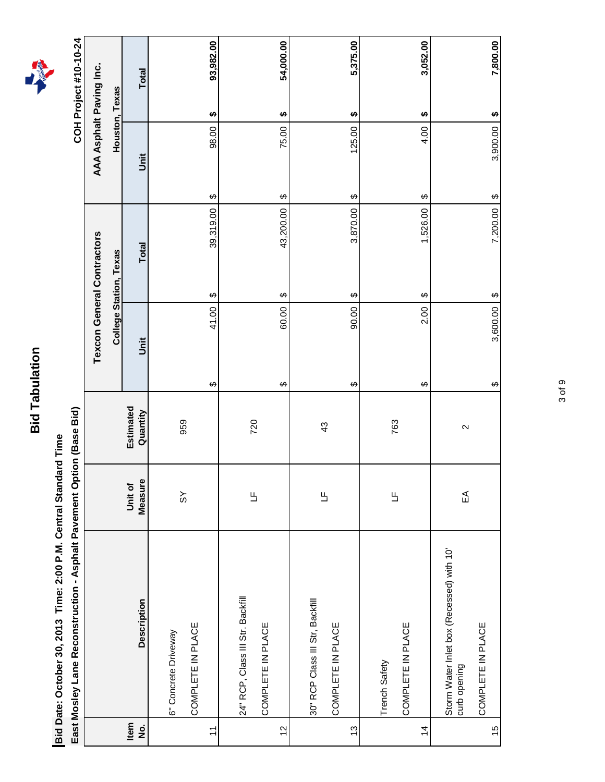Bid Date: October 30, 2013 Time: 2:00 P.M. Central Standard Time **Bid Date: October 30, 2013 Time: 2:00 P.M. Central Standard Time**

East Mosley Lane Reconstruction - Asphalt Pavement Option (Base Bid) **East Mosley Lane Reconstruction - Asphalt Pavement Option (Base Bid)**

COH Project #10-10-24 **COH Project #10-10-24**

|                            |                                                           |                      |                       |                                    | <b>Texcon General Contractors</b> |                                  | AAA Asphalt Paving Inc.            |
|----------------------------|-----------------------------------------------------------|----------------------|-----------------------|------------------------------------|-----------------------------------|----------------------------------|------------------------------------|
|                            |                                                           |                      |                       |                                    | <b>College Station, Texas</b>     |                                  | <b>Houston, Texas</b>              |
| Item<br>$\dot{\mathsf{z}}$ | <b>Description</b>                                        | Measure<br>Unit of   | Estimated<br>Quantity | j                                  | <b>Total</b>                      | jst                              | <b>Total</b>                       |
|                            |                                                           |                      |                       |                                    |                                   |                                  |                                    |
|                            | 6" Concrete Driveway                                      | $\frac{1}{3}$        | 959                   |                                    |                                   |                                  |                                    |
|                            | COMPLETE IN PLACE                                         |                      |                       |                                    |                                   |                                  |                                    |
| $\overline{1}$             |                                                           |                      |                       | 41.00<br>↔                         | 39,319.00<br>↔                    | 98.00<br>$\boldsymbol{\varphi}$  | 93,982.00<br>↮                     |
|                            |                                                           |                      |                       |                                    |                                   |                                  |                                    |
|                            | 24" RCP, Class III Str. Backfill                          | Ь                    | 720                   |                                    |                                   |                                  |                                    |
|                            | COMPLETE IN PLACE                                         |                      |                       |                                    |                                   |                                  |                                    |
| $\frac{2}{3}$              |                                                           |                      |                       | 60.00<br>↮                         | 43,200.00<br>↮                    | 75.00<br>$\boldsymbol{\varphi}$  | 54,000.00<br>↮                     |
|                            |                                                           |                      |                       |                                    |                                   |                                  |                                    |
|                            | 30" RCP Class III Str, Backfill                           |                      |                       |                                    |                                   |                                  |                                    |
|                            | COMPLETE IN PLACE                                         | $\mathord{\text{L}}$ | 43                    |                                    |                                   |                                  |                                    |
| $\frac{3}{2}$              |                                                           |                      |                       | 90.00<br>↔                         | 3,870.00<br>↔                     | 125.00<br>$\boldsymbol{\varphi}$ | 5,375.00<br>↮                      |
|                            |                                                           |                      |                       |                                    |                                   |                                  |                                    |
|                            | Trench Safety                                             | 出                    | 763                   |                                    |                                   |                                  |                                    |
|                            | COMPLETE IN PLACE                                         |                      |                       |                                    |                                   |                                  |                                    |
| $\frac{4}{3}$              |                                                           |                      |                       | 2.00<br>↔                          | 1,526.00<br>↔                     | 4.00<br>$\boldsymbol{\varphi}$   | 3,052.00<br>↮                      |
|                            | Storm Water Inlet box (Recessed) with 10"<br>curb opening | ₹                    | $\sim$                |                                    |                                   |                                  |                                    |
| $\frac{5}{3}$              | COMPLETE IN PLACE                                         |                      |                       | 3,600.00<br>$\boldsymbol{\varphi}$ | 7,200.00<br>$\varphi$             | 3,900.00<br>$\theta$             | 7,800.00<br>$\boldsymbol{\varphi}$ |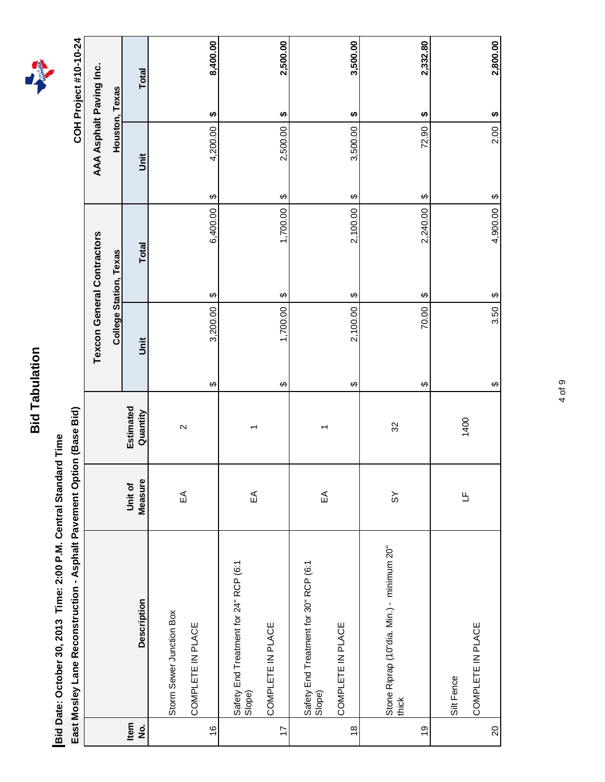Bid Date: October 30, 2013 Time: 2:00 P.M. Central Standard Time **Bid Date: October 30, 2013 Time: 2:00 P.M. Central Standard Time**

East Mosley Lane Reconstruction - Asphalt Pavement Option (Base Bid) **East Mosley Lane Reconstruction - Asphalt Pavement Option (Base Bid)**

COH Project #10-10-24 **COH Project #10-10-24**

|                            |                                                    |                          |                       |                                | <b>Texcon General Contractors</b>  |                                    | AAA Asphalt Paving Inc.            |
|----------------------------|----------------------------------------------------|--------------------------|-----------------------|--------------------------------|------------------------------------|------------------------------------|------------------------------------|
|                            |                                                    |                          |                       |                                | <b>College Station, Texas</b>      |                                    | Houston, Texas                     |
| Item<br>$\dot{\mathbf{z}}$ | <b>Description</b>                                 | Measure<br>Unit of       | Estimated<br>Quantity | ji                             | <b>Total</b>                       | jnit                               | <b>Total</b>                       |
|                            |                                                    |                          |                       |                                |                                    |                                    |                                    |
|                            | Storm Sewer Junction Box                           | $\widetilde{\mathbb{E}}$ | $\sim$                |                                |                                    |                                    |                                    |
|                            | COMPLETE IN PLACE                                  |                          |                       |                                |                                    |                                    |                                    |
| $\frac{6}{5}$              |                                                    |                          |                       | 3,200.00<br>↔                  | 6,400.00<br>↔                      | 4,200.00<br>$\boldsymbol{\varphi}$ | 8,400.00<br>↮                      |
|                            | Safety End Treatment for 24" RCP (6:1<br>Slope)    |                          |                       |                                |                                    |                                    |                                    |
|                            |                                                    | $\widetilde{\mathbb{E}}$ |                       |                                |                                    |                                    |                                    |
| $\overline{1}$             | COMPLETE IN PLACE                                  |                          |                       | 1,700.00<br>↔                  | 1,700.00<br>↮                      | 2,500.00<br>$\boldsymbol{\varphi}$ | 2,500.00<br>↮                      |
|                            | Safety End Treatment for 30" RCP (6:1<br>Slope)    | $\widetilde{\mathbb{E}}$ |                       |                                |                                    |                                    |                                    |
| $\frac{8}{1}$              | COMPLETE IN PLACE                                  |                          |                       | 2,100.00<br>↮                  | 2,100.00<br>↔                      | 3,500.00<br>$\boldsymbol{\varphi}$ | 3,500.00<br>↮                      |
|                            |                                                    |                          |                       |                                |                                    |                                    |                                    |
|                            | Stone Riprap (10"dia. Min.) - minimum 20"<br>thick | $\frac{8}{3}$            | S <sub>2</sub>        |                                |                                    |                                    |                                    |
| $\frac{0}{2}$              |                                                    |                          |                       | 70.00<br>↔                     | 2,240.00<br>↔                      | 72.90<br>$\boldsymbol{\varphi}$    | 2,332.80<br>↮                      |
|                            | Silt Fence                                         |                          |                       |                                |                                    |                                    |                                    |
|                            | COMPLETE IN PLACE                                  | $\overline{a}$           | 1400                  |                                |                                    |                                    |                                    |
| $20\,$                     |                                                    |                          |                       | 3.50<br>$\boldsymbol{\varphi}$ | 4,900.00<br>$\boldsymbol{\varphi}$ | 2.00<br>$\theta$                   | 2,800.00<br>$\boldsymbol{\varphi}$ |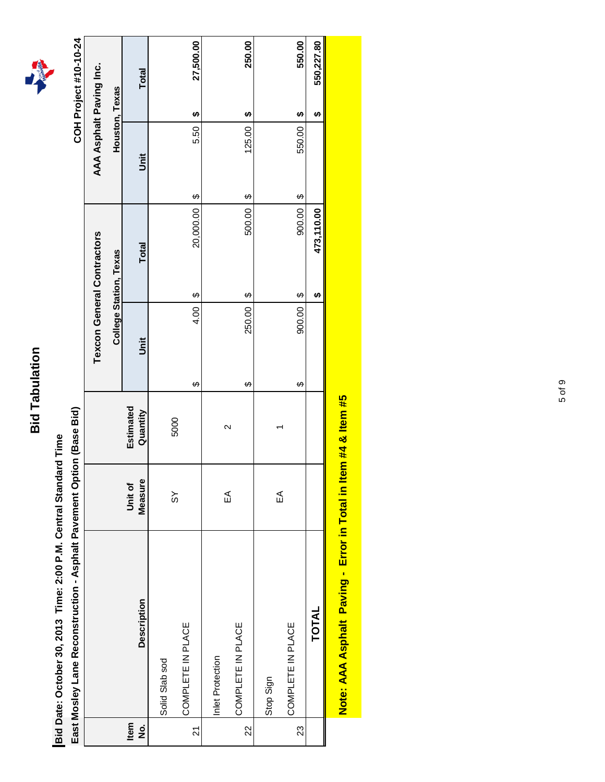

East Mosley Lane Reconstruction - Asphalt Pavement Option (Base Bid) **East Mosley Lane Reconstruction - Asphalt Pavement Option (Base Bid)**



|                            | East Mosley Lane Reconstruction - Asphalt Pavement Option (Base Bid) |                    |                       |             |                                     |                                  | COH Project #10-10-24   |  |
|----------------------------|----------------------------------------------------------------------|--------------------|-----------------------|-------------|-------------------------------------|----------------------------------|-------------------------|--|
|                            |                                                                      |                    |                       |             | <b>Texcon General Contractors</b>   |                                  | AAA Asphalt Paving Inc. |  |
|                            |                                                                      |                    |                       |             | College Station, Texas              |                                  | Houston, Texas          |  |
| Item<br>$\dot{\mathbf{z}}$ | <b>Description</b>                                                   | Measure<br>Unit of | Estimated<br>Quantity | <b>Jnit</b> | Total                               | Jnit                             | Total                   |  |
|                            | Solid Slab sod                                                       |                    |                       |             |                                     |                                  |                         |  |
| $\overline{z}$             | COMPLETE IN PLACE                                                    | $\frac{8}{3}$      | 5000                  | 4.00<br>↔   | 20,000.00<br>$\boldsymbol{\varphi}$ | 5.50<br>$\boldsymbol{\varphi}$   | 27,500.00<br>€          |  |
|                            | Inlet Protection                                                     |                    |                       |             |                                     |                                  |                         |  |
| 22                         | COMPLETE IN PLACE                                                    | ₹                  | $\sim$                | 250.00<br>↔ | 500.00<br>$\boldsymbol{\varphi}$    | 125.00<br>$\boldsymbol{\varphi}$ | 250.00<br>H             |  |
|                            | Stop Sign                                                            |                    |                       |             |                                     |                                  |                         |  |
| 23                         | COMPLETE IN PLACE                                                    | ₷                  |                       | 900.00<br>↔ | 900.00<br>↔                         | 550.00<br>$\boldsymbol{\varphi}$ | 550.00<br>↮             |  |
|                            | <b>TOTAL</b>                                                         |                    |                       |             | 473,110.00<br>ക                     |                                  | 550,227.80<br>ക         |  |
|                            | <u> 14 martii 15 maartii 16 maartii 17 martii 17 martii 17 ma</u>    |                    |                       |             |                                     |                                  |                         |  |

Note: AAA Asphalt Paving - Error in Total in Item #4 & Item #5 **Note: AAA Asphalt Paving - Error in Total in Item #4 & Item #5**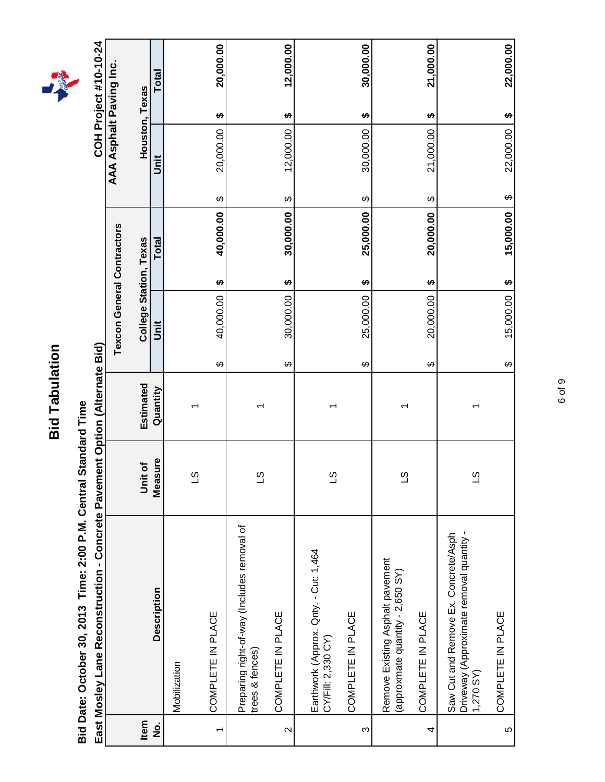| С      |
|--------|
| í      |
| ţ<br>ī |
|        |
|        |
|        |
| ۵<br>C |
|        |
|        |
| г      |
|        |
| r<br>ı |





|                | East Mosley Lane Reconstruction - Concrete Pavement Option (Alternate Bid)                   |                |           |                                   |                        |              |                        |                | COH Project #10-10-24               |  |
|----------------|----------------------------------------------------------------------------------------------|----------------|-----------|-----------------------------------|------------------------|--------------|------------------------|----------------|-------------------------------------|--|
|                |                                                                                              |                |           | <b>Texcon General Contractors</b> |                        |              |                        |                | AAA Asphalt Paving Inc.             |  |
| Item           |                                                                                              | Unit of        | Estimated | College Station, Texas            |                        |              |                        | Houston, Texas |                                     |  |
| <u>o</u><br>Z  | <b>Description</b>                                                                           | Measure        | Quantity  | <b>Jnit</b>                       |                        | <b>Total</b> |                        | Jnit           | <b>Total</b>                        |  |
|                | Mobilization                                                                                 |                |           |                                   |                        |              |                        |                |                                     |  |
|                |                                                                                              | <u>က</u>       |           |                                   |                        |              |                        |                |                                     |  |
| $\overline{ }$ | COMPLETE IN PLACE                                                                            |                |           | 40,000.00<br>↔                    | $\boldsymbol{\varphi}$ | 40,000.00    | $\boldsymbol{\varphi}$ | 20,000.00      | 20,000.00<br>$\boldsymbol{\varphi}$ |  |
|                | Preparing right-of-way (Includes removal of<br>trees & fences)                               | <u>က</u>       |           |                                   |                        |              |                        |                |                                     |  |
| $\sim$         | COMPLETE IN PLACE                                                                            |                |           | 30,000.00<br>↔                    | H                      | 30,000.00    | ↔                      | 12,000.00      | 12,000.00<br>↮                      |  |
|                | Earthwork (Approx. Qnty. - Cut: 1,464<br>CY/Fill: 2,330 CY)                                  | S              |           |                                   |                        |              |                        |                |                                     |  |
| S              | COMPLETE IN PLACE                                                                            |                |           | 25,000.00<br>↔                    | H                      | 25,000.00    | ↔                      | 30,000.00      | 30,000.00<br>↮                      |  |
|                | Remove Existing Asphalt pavement<br>(approxmate quantity - 2,650 SY)                         | $\overline{3}$ |           |                                   |                        |              |                        |                |                                     |  |
| 4              | COMPLETE IN PLACE                                                                            |                |           | 20,000.00<br>$\varphi$            | ↮                      | 20,000.00    | ↔                      | 21,000.00      | 21,000.00<br>↮                      |  |
|                | Driveway (Approximate removal quantity -<br>Saw Cut and Remove Ex. Concrete/Asph<br>1,270 SY | $\overline{c}$ | ᡪ         |                                   |                        |              |                        |                |                                     |  |
| 5              | COMPLETE IN PLACE                                                                            |                |           | 15,000.00<br>↔                    | $\boldsymbol{\varphi}$ | 15,000.00    | ↮                      | 22,000.00      | 22,000.00<br>$\boldsymbol{\varphi}$ |  |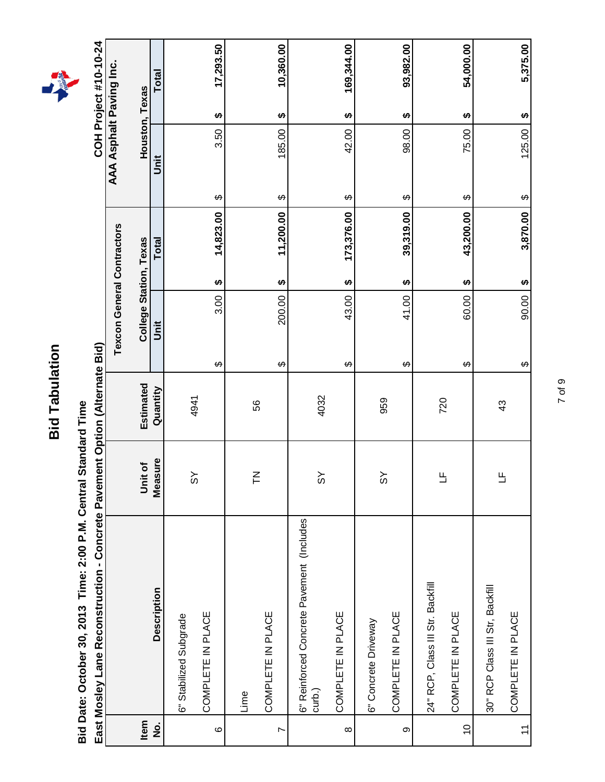| С      |
|--------|
| í      |
| ţ<br>ī |
|        |
|        |
|        |
| ۵<br>C |
|        |
|        |
| г      |
|        |
| r<br>ı |



in Bid **East Mosley Lane Reconstruction - Concrete Pavement Option (Alternate Bid)** Ontion (Alt ò<br>。 ć יי<br>ייבוב ە<br>م East Moslev L

|                       | East Mosley Lane Reconstruction - Concrete Pavement Option (Alternate Bid) |                |           |                                   |                        |                                  | COH Project #10-10-24   |
|-----------------------|----------------------------------------------------------------------------|----------------|-----------|-----------------------------------|------------------------|----------------------------------|-------------------------|
|                       |                                                                            |                |           | <b>Texcon General Contractors</b> |                        |                                  | AAA Asphalt Paving Inc. |
| Item                  |                                                                            | Unit of        | Estimated |                                   | College Station, Texas |                                  | Houston, Texas          |
| $\frac{1}{2}$         | Description                                                                | Measure        | Quantity  | Jnit                              | <b>Total</b>           | <b>Jnit</b>                      | <b>Total</b>            |
|                       | 6" Stabilized Subgrade                                                     |                |           |                                   |                        |                                  |                         |
| $\circ$               | COMPLETE IN PLACE                                                          | $\frac{8}{3}$  | 4941      | 3.00<br>↔                         | 14,823.00<br>↮         | 3.50<br>↔                        | 17,293.50<br>↮          |
|                       | Lime                                                                       |                |           |                                   |                        |                                  |                         |
| $\overline{ }$        | COMPLETE IN PLACE                                                          | $\overline{F}$ | 56        | 200.00<br>↔                       | 11,200.00<br>↮         | 185.00<br>$\boldsymbol{\varphi}$ | 10,360.00<br>↮          |
|                       | 6" Reinforced Concrete Pavement (Includes<br>curb.)                        | ŠΣ             | 4032      |                                   |                        |                                  |                         |
| $\infty$              | COMPLETE IN PLACE                                                          |                |           | 43.00<br>↔                        | 173,376.00<br>↮        | 42.00<br>↔                       | 169,344.00<br>↮         |
|                       | 6" Concrete Driveway                                                       |                |           |                                   |                        |                                  |                         |
| တ                     | COMPLETE IN PLACE                                                          | $\frac{8}{3}$  | 959       | 41.00<br>↔                        | 39,319.00<br>↮         | 98.00<br>$\boldsymbol{\varphi}$  | 93,982.00<br>↮          |
|                       | 24" RCP, Class III Str. Backfill                                           |                |           |                                   |                        |                                  |                         |
| $\frac{0}{1}$         | COMPLETE IN PLACE                                                          | Ь              | 720       | 60.00<br>↔                        | 43,200.00<br>↮         | 75.00<br>↔                       | 54,000.00<br>↮          |
|                       | 30" RCP Class III Str, Backfill                                            |                |           |                                   |                        |                                  |                         |
| $\tilde{\mathcal{L}}$ | COMPLETE IN PLACE                                                          | 出              | 43        | 90.00<br>$\boldsymbol{\varphi}$   | 3,870.00<br>H          | 125.00<br>$\boldsymbol{\varphi}$ | 5,375.00<br>H           |

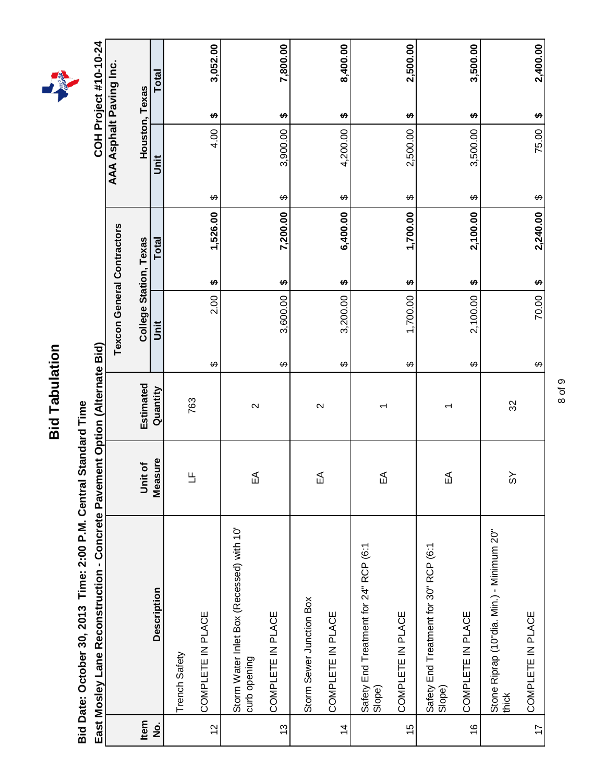| С              |
|----------------|
| í              |
| ţ<br>с         |
|                |
|                |
| ۵<br>с         |
| $\overline{a}$ |
|                |
|                |
| ŗ<br>ĭ         |



Rid **East Mosley Lane Reconstruction - Concrete Pavement Option (Alternate Bid)**  $\frac{1}{2}$  $\overline{\phantom{a}}$ nt Ontin ction

|                | East Mosley Lane Reconstruction - Concrete Pavement Option (Alternate Bid) |              |                   |                                   |                        |          |                        |                | COH Project #10-10-24              |  |
|----------------|----------------------------------------------------------------------------|--------------|-------------------|-----------------------------------|------------------------|----------|------------------------|----------------|------------------------------------|--|
|                |                                                                            |              |                   | <b>Texcon General Contractors</b> |                        |          |                        |                | AAA Asphalt Paving Inc.            |  |
| Item           |                                                                            | Unit of      | Estimated         |                                   | College Station, Texas |          |                        | Houston, Texas |                                    |  |
| <u>o</u><br>Z  | <b>Description</b>                                                         | Measure      | Quantity          | Unit                              | <b>Total</b>           |          |                        | ji             | Total                              |  |
|                | Trench Safety                                                              |              |                   |                                   |                        |          |                        |                |                                    |  |
| $\tilde{c}$    | COMPLETE IN PLACE                                                          | Е            | 763               | 2.00<br>↔                         | ↮                      | 1,526.00 | ↔                      | 4.00           | 3,052.00<br>↮                      |  |
|                | Storm Water Inlet Box (Recessed) with 10'<br>curb opening                  | ₷            | $\mathbf{\Omega}$ |                                   |                        |          |                        |                |                                    |  |
| $\frac{3}{2}$  | COMPLETE IN PLACE                                                          |              |                   | 3,600.00<br>$\Theta$              | ↮                      | 7,200.00 | ↔                      | 3,900.00       | 7,800.00<br>$\boldsymbol{\varphi}$ |  |
|                | Storm Sewer Junction Box                                                   |              |                   |                                   |                        |          |                        |                |                                    |  |
| $\overline{4}$ | COMPLETE IN PLACE                                                          | $\mathbb{E}$ | $\mathbf{\Omega}$ | 3,200.00<br>$\Theta$              | ↮                      | 6,400.00 | ↔                      | 4,200.00       | 8,400.00<br>↮                      |  |
|                | Safety End Treatment for 24" RCP (6:1<br>Slope)                            | ₷            | ᡪ                 |                                   |                        |          |                        |                |                                    |  |
| $\frac{5}{1}$  | COMPLETE IN PLACE                                                          |              |                   | 1,700.00<br>↔                     | မာ                     | 1,700.00 | ↔                      | 2,500.00       | 2,500.00<br><b>SA</b>              |  |
|                | Safety End Treatment for 30" RCP (6:1<br>Slope)                            | ₷            | ↽                 |                                   |                        |          |                        |                |                                    |  |
| $\frac{6}{5}$  | COMPLETE IN PLACE                                                          |              |                   | 2,100.00<br>↔                     | ↮                      | 2,100.00 | ↮                      | 3,500.00       | 3,500.00<br>↮                      |  |
|                | Stone Riprap (10"dia. Min.) - Minimum 20"<br>thick                         | $\delta$     | 32                |                                   |                        |          |                        |                |                                    |  |
| $\overline{1}$ | COMPLETE IN PLACE                                                          |              |                   | 70.00<br>$\varphi$                | H                      | 2,240.00 | $\boldsymbol{\varphi}$ | 75.00          | 2,400.00<br><b>SA</b>              |  |